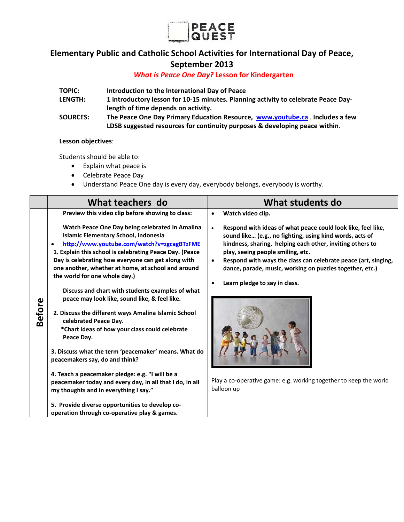

## **Elementary Public and Catholic School Activities for International Day of Peace, September 2013**

### *What is Peace One Day?* **Lesson for Kindergarten**

| <b>TOPIC:</b>   | Introduction to the International Day of Peace                                     |
|-----------------|------------------------------------------------------------------------------------|
| <b>LENGTH:</b>  | 1 introductory lesson for 10-15 minutes. Planning activity to celebrate Peace Day- |
|                 | length of time depends on activity.                                                |
| <b>SOURCES:</b> | The Peace One Day Primary Education Resource, www.youtube.ca. Includes a few       |
|                 | LDSB suggested resources for continuity purposes & developing peace within.        |

#### **Lesson objectives**:

Students should be able to:

- Explain what peace is
- Celebrate Peace Day
- Understand Peace One day is every day, everybody belongs, everybody is worthy.

|               | What teachers do                                                                                                                                                                                                                                                                                                                                                                                                                                                                                                                                                                                                                                                                                                                                                                                                                                                                                                      | What students do                                                                                                                                                                                                                                                                                                                                                                                                                                                             |
|---------------|-----------------------------------------------------------------------------------------------------------------------------------------------------------------------------------------------------------------------------------------------------------------------------------------------------------------------------------------------------------------------------------------------------------------------------------------------------------------------------------------------------------------------------------------------------------------------------------------------------------------------------------------------------------------------------------------------------------------------------------------------------------------------------------------------------------------------------------------------------------------------------------------------------------------------|------------------------------------------------------------------------------------------------------------------------------------------------------------------------------------------------------------------------------------------------------------------------------------------------------------------------------------------------------------------------------------------------------------------------------------------------------------------------------|
|               | Preview this video clip before showing to class:                                                                                                                                                                                                                                                                                                                                                                                                                                                                                                                                                                                                                                                                                                                                                                                                                                                                      | Watch video clip.<br>$\bullet$                                                                                                                                                                                                                                                                                                                                                                                                                                               |
| <b>Before</b> | Watch Peace One Day being celebrated in Amalina<br>Islamic Elementary School, Indonesia<br>http://www.youtube.com/watch?v=zgcagBTzFME<br>$\bullet$<br>1. Explain this school is celebrating Peace Day. (Peace<br>Day is celebrating how everyone can get along with<br>one another, whether at home, at school and around<br>the world for one whole day.)<br>Discuss and chart with students examples of what<br>peace may look like, sound like, & feel like.<br>2. Discuss the different ways Amalina Islamic School<br>celebrated Peace Day.<br>*Chart ideas of how your class could celebrate<br>Peace Day.<br>3. Discuss what the term 'peacemaker' means. What do<br>peacemakers say, do and think?<br>4. Teach a peacemaker pledge: e.g. "I will be a<br>peacemaker today and every day, in all that I do, in all<br>my thoughts and in everything I say."<br>5. Provide diverse opportunities to develop co- | Respond with ideas of what peace could look like, feel like,<br>sound like (e.g., no fighting, using kind words, acts of<br>kindness, sharing, helping each other, inviting others to<br>play, seeing people smiling, etc.<br>Respond with ways the class can celebrate peace (art, singing,<br>dance, parade, music, working on puzzles together, etc.)<br>Learn pledge to say in class.<br>Play a co-operative game: e.g. working together to keep the world<br>balloon up |
|               | operation through co-operative play & games.                                                                                                                                                                                                                                                                                                                                                                                                                                                                                                                                                                                                                                                                                                                                                                                                                                                                          |                                                                                                                                                                                                                                                                                                                                                                                                                                                                              |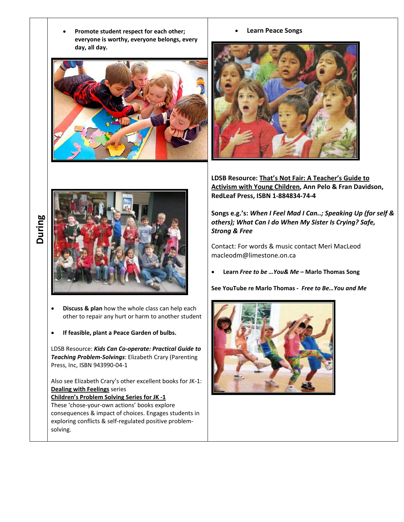**Promote student respect for each other; everyone is worthy, everyone belongs, every day, all day.** 







**LDSB Resource: That's Not Fair: A Teacher's Guide to Activism with Young Children, Ann Pelo & Fran Davidson, RedLeaf Press, ISBN 1‐884834‐74‐4**

**Songs e.g.'s:** *When I Feel Mad I Can..; Speaking Up (for self & others); What Can I do When My Sister Is Crying? Safe, Strong & Free*

Contact: For words & music contact Meri MacLeod macleodm@limestone.on.ca

**Learn** *Free to be …You& Me –* **Marlo Thomas Song**

**See YouTube re Marlo Thomas ‐** *Free to Be…You and Me*



# **During**



- **Discuss & plan** how the whole class can help each other to repair any hurt or harm to another student
- **If feasible, plant a Peace Garden of bulbs.**

LDSB Resource: *Kids Can Co‐operate: Practical Guide to Teaching Problem‐Solvings*: Elizabeth Crary (Parenting Press, Inc, ISBN 943990‐04‐1

Also see Elizabeth Crary's other excellent books for JK‐1: **Dealing with Feelings** series

**Children's Problem Solving Series for JK ‐1** These 'chose‐your‐own actions' books explore consequences & impact of choices. Engages students in exploring conflicts & self‐regulated positive problem‐ solving.